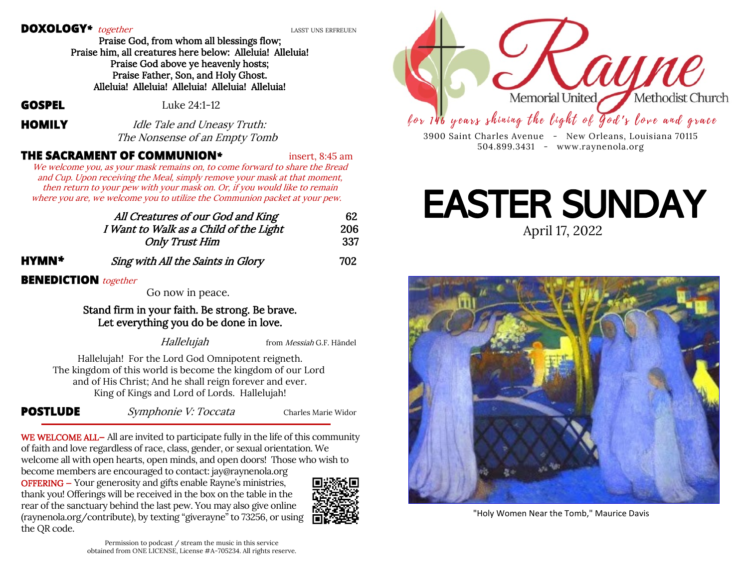#### **DOXOLOGY**<sup>\*</sup> together *LASST UNS ERFREUEN*

 Praise God, from whom all blessings flow; Praise him, all creatures here below: Alleluia! Alleluia! Praise God above ye heavenly hosts; Praise Father, Son, and Holy Ghost. Alleluia! Alleluia! Alleluia! Alleluia! Alleluia!

**GOSPEL** Luke 24:1-12

**HOMILY** *Idle Tale and Uneasy Truth:* The Nonsense of an Empty Tomb

### **THE SACRAMENT OF COMMUNION***\** insert, 8:45 am

We welcome you, as your mask remains on, to come forward to share the Bread and Cup. Upon receiving the Meal, simply remove your mask at that moment, then return to your pew with your mask on. Or, if you would like to remain where you are, we welcome you to utilize the Communion packet at your pew.

|              | All Creatures of our God and King      | 62  |
|--------------|----------------------------------------|-----|
|              | I Want to Walk as a Child of the Light | 206 |
|              | <b>Only Trust Him</b>                  | 337 |
| <b>HYMN*</b> | Sing with All the Saints in Glory      | 702 |

#### **BENEDICTION together**

Go now in peace.

#### Stand firm in your faith. Be strong. Be brave. Let everything you do be done in love.

Hallelujah from Messiah G.F. Händel

Hallelujah! For the Lord God Omnipotent reigneth. The kingdom of this world is become the kingdom of our Lord and of His Christ; And he shall reign forever and ever. King of Kings and Lord of Lords. Hallelujah!

**POSTLUDE** Symphonie V: Toccata Charles Marie Widor

WE WELCOME ALL-All are invited to participate fully in the life of this community of faith and love regardless of race, class, gender, or sexual orientation. We welcome all with open hearts, open minds, and open doors! Those who wish to become members are encouraged to contact: jay@raynenola.org OFFERING — Your generosity and gifts enable Rayne's ministries, thank you! Offerings will be received in the box on the table in the rear of the sanctuary behind the last pew. You may also give online (raynenola.org/contribute), by texting "giverayne" to 73256, or using the QR code.





3900 Saint Charles Avenue - New Orleans, Louisiana 70115 504.899.3431 - www.raynenola.org

## April 17, 2022 EASTER SUNDAY



"Holy Women Near the Tomb," Maurice Davis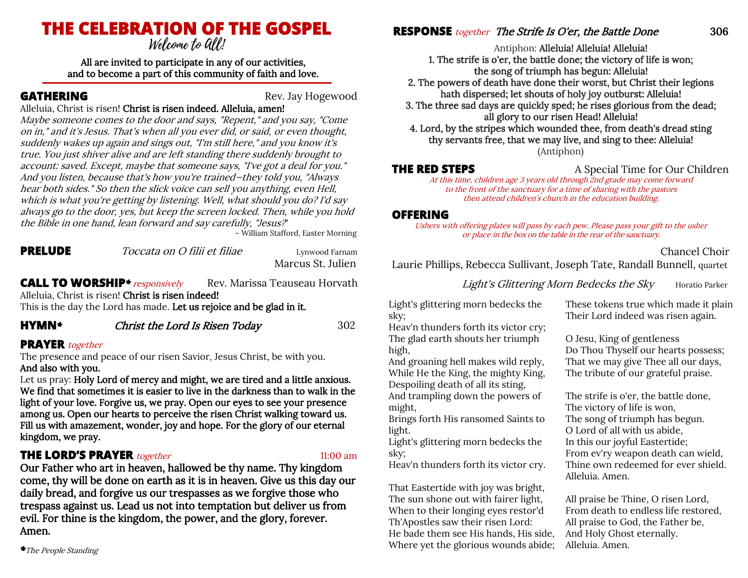# **THE CELEBRATION OF THE GOSPEL**

All are invited to participate in any of our activities, and to become a part of this community of faith and love.

**GATHERING** Rev. Jay Hogewood

Alleluia, Christ is risen! Christ is risen indeed. Alleluia, amen! Maybe someone comes to the door and says, "Repent," and you say, "Come on in," and it's Jesus. That's when all you ever did, or said, or even thought, suddenly wakes up again and sings out, "I'm still here," and you know it's true. You just shiver alive and are left standing there suddenly brought to account: saved. Except, maybe that someone says, "I've got a deal for you." And you listen, because that's how you're trained—they told you, "Always hear both sides." So then the slick voice can sell you anything, even Hell, which is what you're getting by listening. Well, what should you do? I'd say always go to the door, yes, but keep the screen locked. Then, while you hold the Bible in one hand, lean forward and say carefully, "Jesus?"

~ William Stafford, Easter Morning

**PRELUDE** *Toccata on O filii et filiae Lynwood Farnam* 

Marcus St. Julien

**CALL TO WORSHIP**<sup>\*</sup> responsively Rev. Marissa Teauseau Horvath Alleluia, Christ is risen! Christ is risen indeed! This is the day the Lord has made. Let us rejoice and be glad in it.

**HYMN***\** Christ the Lord Is Risen Today 302

#### **PRAYER** together

The presence and peace of our risen Savior, Jesus Christ, be with you. And also with you.

Let us pray: Holy Lord of mercy and might, we are tired and a little anxious. We find that sometimes it is easier to live in the darkness than to walk in the light of your love. Forgive us, we pray. Open our eyes to see your presence among us. Open our hearts to perceive the risen Christ walking toward us. Fill us with amazement, wonder, joy and hope. For the glory of our eternal kingdom, we pray.

### **THE LORD'S PRAYER** together 11:00 am

Our Father who art in heaven, hallowed be thy name. Thy kingdom come, thy will be done on earth as it is in heaven. Give us this day our daily bread, and forgive us our trespasses as we forgive those who trespass against us. Lead us not into temptation but deliver us from evil. For thine is the kingdom, the power, and the glory, forever. Amen.

*\**The People Standing

#### **RESPONSE** *together* The Strife Is O'er, the Battle Done 306

Antiphon: Alleluia! Alleluia! Alleluia!

1. The strife is o'er, the battle done; the victory of life is won; the song of triumph has begun: Alleluia!

2. The powers of death have done their worst, but Christ their legions hath dispersed; let shouts of holy joy outburst: Alleluia!

3. The three sad days are quickly sped; he rises glorious from the dead; all glory to our risen Head! Alleluia!

4. Lord, by the stripes which wounded thee, from death's dread sting thy servants free, that we may live, and sing to thee: Alleluia! (Antiphon)

**THE RED STEPS** A Special Time for Our Children

At this time, children age 3 years old through 2nd grade may come forward to the front of the sanctuary for a time of sharing with the pastors then attend children's church in the education building.

#### **OFFERING**

Ushers with offering plates will pass by each pew. Please pass your gift to the usher or place in the box on the table in the rear of the sanctuary.

#### Chancel Choir

Laurie Phillips, Rebecca Sullivant, Joseph Tate, Randall Bunnell, quartet

Light's Glittering Morn Bedecks the Sky Horatio Parker

Light's glittering morn bedecks the sky;

Heav'n thunders forth its victor cry; The glad earth shouts her triumph high,

And groaning hell makes wild reply, While He the King, the mighty King, Despoiling death of all its sting, And trampling down the powers of might,

Brings forth His ransomed Saints to light.

Light's glittering morn bedecks the sky;

Heav'n thunders forth its victor cry.

That Eastertide with joy was bright, The sun shone out with fairer light, When to their longing eyes restor'd Th'Apostles saw their risen Lord: He bade them see His hands, His side, Where yet the glorious wounds abide;

These tokens true which made it plain Their Lord indeed was risen again.

O Jesu, King of gentleness Do Thou Thyself our hearts possess; That we may give Thee all our days, The tribute of our grateful praise.

The strife is o'er, the battle done, The victory of life is won, The song of triumph has begun. O Lord of all with us abide, In this our joyful Eastertide; From ev'ry weapon death can wield, Thine own redeemed for ever shield. Alleluia. Amen.

All praise be Thine, O risen Lord, From death to endless life restored, All praise to God, the Father be, And Holy Ghost eternally. Alleluia. Amen.